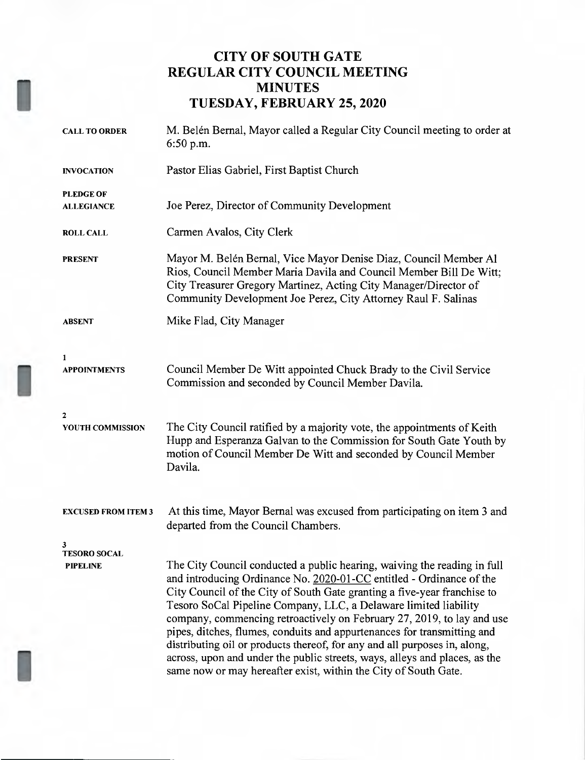# CITY OF SOUTH GATE REGULAR CITY COUNCIL MEETING MINUTES TUESDAY, FEBRUARY 25, 2020

| <b>CALL TO ORDER</b>                        | M. Belén Bernal, Mayor called a Regular City Council meeting to order at<br>$6:50$ p.m.                                                                                                                                                                                                                                                                                                                                                                                                                                                                                                                                                                                             |  |  |
|---------------------------------------------|-------------------------------------------------------------------------------------------------------------------------------------------------------------------------------------------------------------------------------------------------------------------------------------------------------------------------------------------------------------------------------------------------------------------------------------------------------------------------------------------------------------------------------------------------------------------------------------------------------------------------------------------------------------------------------------|--|--|
| <b>INVOCATION</b>                           | Pastor Elias Gabriel, First Baptist Church                                                                                                                                                                                                                                                                                                                                                                                                                                                                                                                                                                                                                                          |  |  |
| <b>PLEDGE OF</b><br><b>ALLEGIANCE</b>       | Joe Perez, Director of Community Development                                                                                                                                                                                                                                                                                                                                                                                                                                                                                                                                                                                                                                        |  |  |
| <b>ROLL CALL</b>                            | Carmen Avalos, City Clerk                                                                                                                                                                                                                                                                                                                                                                                                                                                                                                                                                                                                                                                           |  |  |
| <b>PRESENT</b>                              | Mayor M. Belén Bernal, Vice Mayor Denise Diaz, Council Member Al<br>Rios, Council Member Maria Davila and Council Member Bill De Witt;<br>City Treasurer Gregory Martinez, Acting City Manager/Director of<br>Community Development Joe Perez, City Attorney Raul F. Salinas                                                                                                                                                                                                                                                                                                                                                                                                        |  |  |
| <b>ABSENT</b>                               | Mike Flad, City Manager                                                                                                                                                                                                                                                                                                                                                                                                                                                                                                                                                                                                                                                             |  |  |
| 1<br><b>APPOINTMENTS</b>                    | Council Member De Witt appointed Chuck Brady to the Civil Service<br>Commission and seconded by Council Member Davila.                                                                                                                                                                                                                                                                                                                                                                                                                                                                                                                                                              |  |  |
| $\mathbf{2}$<br>YOUTH COMMISSION            | The City Council ratified by a majority vote, the appointments of Keith<br>Hupp and Esperanza Galvan to the Commission for South Gate Youth by<br>motion of Council Member De Witt and seconded by Council Member<br>Davila.                                                                                                                                                                                                                                                                                                                                                                                                                                                        |  |  |
| <b>EXCUSED FROM ITEM 3</b>                  | At this time, Mayor Bernal was excused from participating on item 3 and<br>departed from the Council Chambers.                                                                                                                                                                                                                                                                                                                                                                                                                                                                                                                                                                      |  |  |
| 3<br><b>TESORO SOCAL</b><br><b>PIPELINE</b> | The City Council conducted a public hearing, waiving the reading in full<br>and introducing Ordinance No. 2020-01-CC entitled - Ordinance of the<br>City Council of the City of South Gate granting a five-year franchise to<br>Tesoro SoCal Pipeline Company, LLC, a Delaware limited liability<br>company, commencing retroactively on February 27, 2019, to lay and use<br>pipes, ditches, flumes, conduits and appurtenances for transmitting and<br>distributing oil or products thereof, for any and all purposes in, along,<br>across, upon and under the public streets, ways, alleys and places, as the<br>same now or may hereafter exist, within the City of South Gate. |  |  |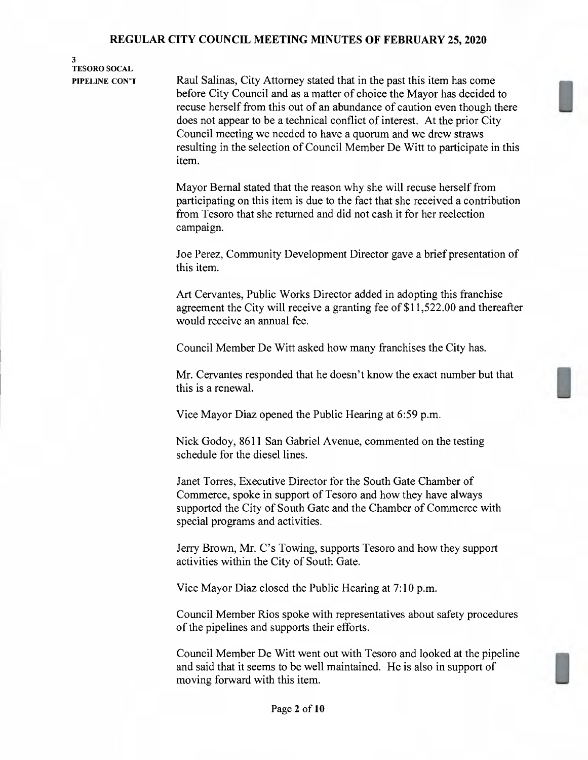## 3 TESORO SOCAL

PIPELINE CON'T Raul Salinas, City Attorney stated that in the past this item has come before City Council and as <sup>a</sup> matter of choice the Mayor has decided to recuse herself from this out of an abundance of caution even though there does not appear to be <sup>a</sup> technical conflict of interest. At the prior City Council meeting we needed to have <sup>a</sup> quorum and we drew straws resulting in the selection of Council Member De Witt to participate in this item.

> Mayor Bemal stated that the reason why she will recuse herself from participating on this item is due to the fact that she received <sup>a</sup> contribution from Tesoro that she returned and did not cash it for her reelection campaign.

> Joe Perez, Community Development Director gave <sup>a</sup> brief presentation of this item.

Art Cervantes, Public Works Director added in adopting this franchise agreement the City will receive a granting fee of \$11,522.00 and thereafter would receive an annual fee.

Council Member De Witt asked how many franchises the City has.

Mr. Cervantes responded that he doesn't know the exact number but that this is a renewal.

Vice Mayor Diaz opened the Public Hearing at 6:59 p.m.

Nick Godoy, 8611 San Gabriel Avenue, commented on the testing schedule for the diesel lines.

Janet Torres, Executive Director for the South Gate Chamber of Commerce, spoke in support of Tesoro and how they have always supported the City of South Gate and the Chamber of Commerce with special programs and activities.

Jerry Brown, Mr. C's Towing, supports Tesoro and how they support activities within the City of South Gate.

Vice Mayor Diaz closed the Public Hearing at 7:10 pm.

Council Member Rios spoke with representatives about safety procedures of the pipelines and supports their efforts.

Council Member De Witt went out with Tesoro and looked at the pipeline and said that it seems to be well maintained. He is also in support of moving forward with this item.

U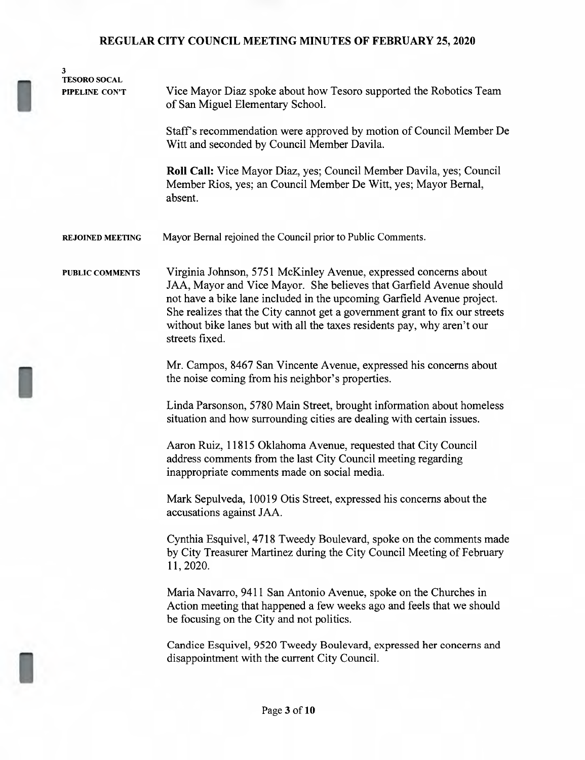| 3                                     |                                                                                                                                                                                                                                                                                                                                                                                               |  |  |
|---------------------------------------|-----------------------------------------------------------------------------------------------------------------------------------------------------------------------------------------------------------------------------------------------------------------------------------------------------------------------------------------------------------------------------------------------|--|--|
| <b>TESORO SOCAL</b><br>PIPELINE CON'T | Vice Mayor Diaz spoke about how Tesoro supported the Robotics Team<br>of San Miguel Elementary School.                                                                                                                                                                                                                                                                                        |  |  |
|                                       | Staff's recommendation were approved by motion of Council Member De<br>Witt and seconded by Council Member Davila.                                                                                                                                                                                                                                                                            |  |  |
|                                       | Roll Call: Vice Mayor Diaz, yes; Council Member Davila, yes; Council<br>Member Rios, yes; an Council Member De Witt, yes; Mayor Bernal,<br>absent.                                                                                                                                                                                                                                            |  |  |
| <b>REJOINED MEETING</b>               | Mayor Bernal rejoined the Council prior to Public Comments.                                                                                                                                                                                                                                                                                                                                   |  |  |
| <b>PUBLIC COMMENTS</b>                | Virginia Johnson, 5751 McKinley Avenue, expressed concerns about<br>JAA, Mayor and Vice Mayor. She believes that Garfield Avenue should<br>not have a bike lane included in the upcoming Garfield Avenue project.<br>She realizes that the City cannot get a government grant to fix our streets<br>without bike lanes but with all the taxes residents pay, why aren't our<br>streets fixed. |  |  |
|                                       | Mr. Campos, 8467 San Vincente Avenue, expressed his concerns about<br>the noise coming from his neighbor's properties.                                                                                                                                                                                                                                                                        |  |  |
|                                       | Linda Parsonson, 5780 Main Street, brought information about homeless<br>situation and how surrounding cities are dealing with certain issues.                                                                                                                                                                                                                                                |  |  |
|                                       | Aaron Ruiz, 11815 Oklahoma Avenue, requested that City Council<br>address comments from the last City Council meeting regarding<br>inappropriate comments made on social media.                                                                                                                                                                                                               |  |  |
|                                       | Mark Sepulveda, 10019 Otis Street, expressed his concerns about the<br>accusations against JAA.                                                                                                                                                                                                                                                                                               |  |  |
|                                       | Cynthia Esquivel, 4718 Tweedy Boulevard, spoke on the comments made<br>by City Treasurer Martinez during the City Council Meeting of February<br>11, 2020.                                                                                                                                                                                                                                    |  |  |
|                                       | Maria Navarro, 9411 San Antonio Avenue, spoke on the Churches in<br>Action meeting that happened a few weeks ago and feels that we should<br>be focusing on the City and not politics.                                                                                                                                                                                                        |  |  |
|                                       | Candice Esquivel, 9520 Tweedy Boulevard, expressed her concerns and<br>disappointment with the current City Council.                                                                                                                                                                                                                                                                          |  |  |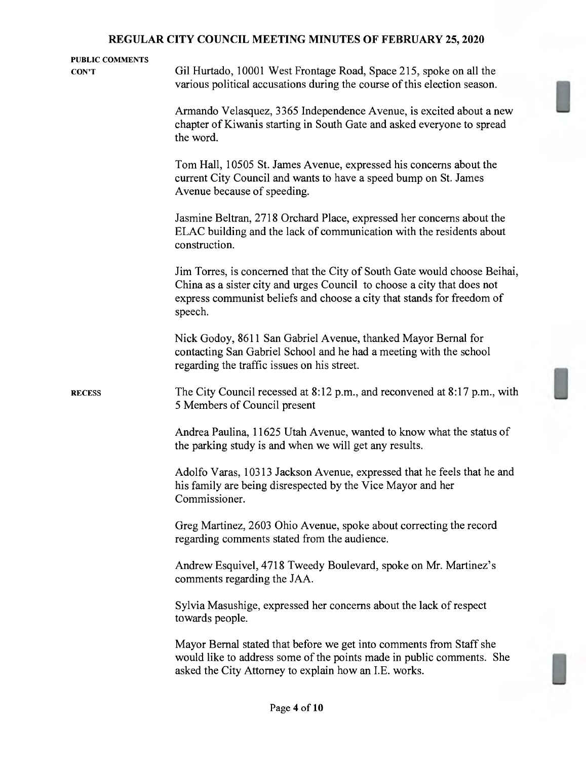| <b>PUBLIC COMMENTS</b><br>CON'T | Gil Hurtado, 10001 West Frontage Road, Space 215, spoke on all the                                                                                                                                                                        |
|---------------------------------|-------------------------------------------------------------------------------------------------------------------------------------------------------------------------------------------------------------------------------------------|
|                                 | various political accusations during the course of this election season.                                                                                                                                                                  |
|                                 | Armando Velasquez, 3365 Independence Avenue, is excited about a new<br>chapter of Kiwanis starting in South Gate and asked everyone to spread<br>the word.                                                                                |
|                                 | Tom Hall, 10505 St. James Avenue, expressed his concerns about the<br>current City Council and wants to have a speed bump on St. James<br>Avenue because of speeding.                                                                     |
|                                 | Jasmine Beltran, 2718 Orchard Place, expressed her concerns about the<br>ELAC building and the lack of communication with the residents about<br>construction.                                                                            |
|                                 | Jim Torres, is concerned that the City of South Gate would choose Beihai,<br>China as a sister city and urges Council to choose a city that does not<br>express communist beliefs and choose a city that stands for freedom of<br>speech. |
|                                 | Nick Godoy, 8611 San Gabriel Avenue, thanked Mayor Bernal for<br>contacting San Gabriel School and he had a meeting with the school<br>regarding the traffic issues on his street.                                                        |
| <b>RECESS</b>                   | The City Council recessed at 8:12 p.m., and reconvened at 8:17 p.m., with<br>5 Members of Council present                                                                                                                                 |
|                                 | Andrea Paulina, 11625 Utah Avenue, wanted to know what the status of<br>the parking study is and when we will get any results.                                                                                                            |
|                                 | Adolfo Varas, 10313 Jackson Avenue, expressed that he feels that he and<br>his family are being disrespected by the Vice Mayor and her<br>Commissioner.                                                                                   |
|                                 | Greg Martinez, 2603 Ohio Avenue, spoke about correcting the record<br>regarding comments stated from the audience.                                                                                                                        |
|                                 | Andrew Esquivel, 4718 Tweedy Boulevard, spoke on Mr. Martinez's<br>comments regarding the JAA.                                                                                                                                            |
|                                 | Sylvia Masushige, expressed her concerns about the lack of respect<br>towards people.                                                                                                                                                     |
|                                 | Mayor Bernal stated that before we get into comments from Staff she<br>would like to address some of the points made in public comments. She<br>asked the City Attorney to explain how an I.E. works.                                     |

 $\Box$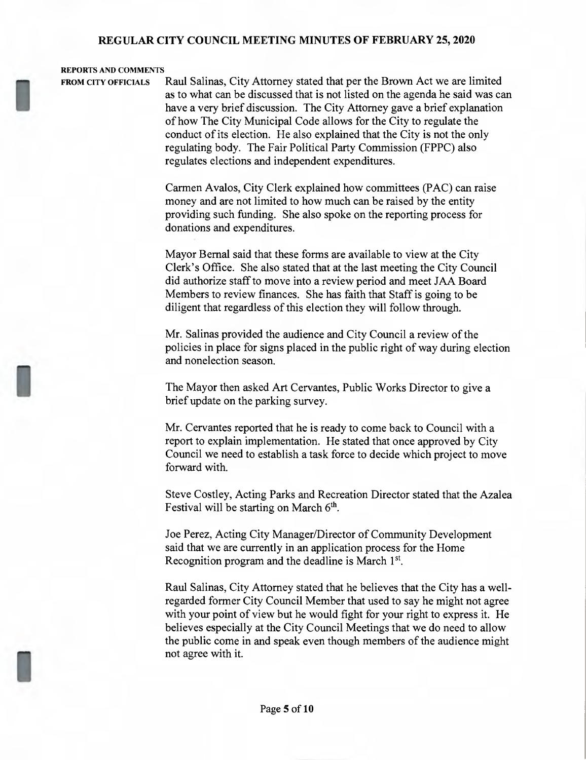#### REPORTS AND COMMENTS

FROM CITY OFFICIALS Raul Salinas, City Attorney stated that per the Brown Act we are limited as to what can be discussed that is not listed on the agenda he said was can have <sup>a</sup> very brief discussion. The City Attorney gave <sup>a</sup> brief explanation of how The City Municipal Code allows for the City to regulate the conduct of its election. He also explained that the City is not the only regulating body. The Fair Political Party Commission (FPPC) also regulates elections and independent expenditures.

> Carmen Avalos, City Clerk explained how committees (PAC) can raise money and are not limited to how much can be raised by the entity providing such funding. She also spoke on the reporting process for donations and expenditures.

> Mayor Bemal said that these forms are available to view at the City Clerk's Office. She also stated that at the last meeting the City Council did authorize staff to move into <sup>a</sup> review period and meet JAA Board Members to review finances. She has faith that Staff is going to be diligent that regardless of this election they will follow through.

Mr. Salinas provided the audience and City Council a review of the policies in place for signs placed in the public right of way during election and nonelection season.

The Mayor then asked Art Cervantes, Public Works Director to give <sup>a</sup> brief update on the parking survey.

Mr. Cervantes reported that he is ready to come back to Council with <sup>a</sup> report to explain implementation. He stated that once approved by City Council we need to establish <sup>a</sup> task force to decide which project to move forward with.

Steve Costley, Acting Parks and Recreation Director stated that the Azalea Festival will be starting on March  $6<sup>th</sup>$ .

Joe Perez, Acting City Manager/Director of Community Development said that we are currently in an application process for the Home Recognition program and the deadline is March 15'.

Raul Salinas, City Attorney stated that he believes that the City has <sup>a</sup> wellregarded former City Council Member that used to say he might not agree with your point of view but he would fight for your right to express it. He believes especially at the City Council Meetings that we do need to allow the public come in and speak even though members of the audience might not agree with it.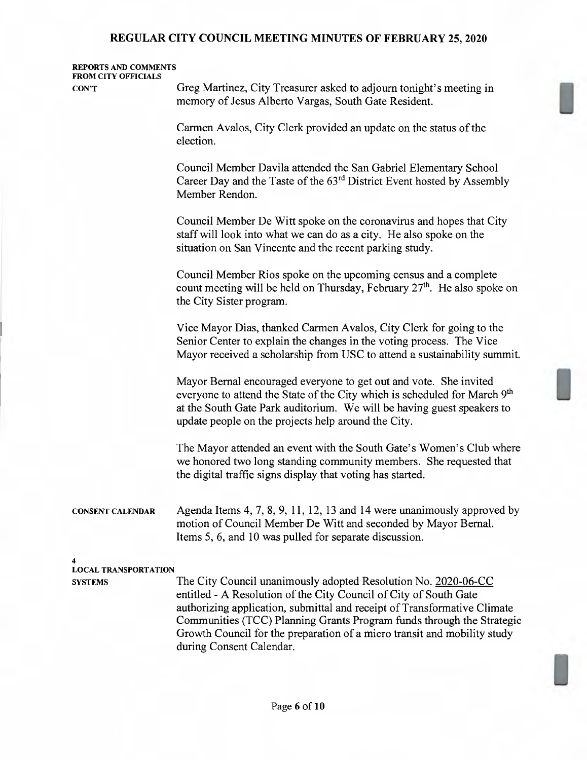### REPORTS AND COMMENTS FROM CITY OFFICIALS

CON'T Greg Martinez, City Treasurer asked to adjourn tonight's meeting in memory of Jesus Alberto Vargas, South Gate Resident.

> Carmen Avalos, City Clerk provided an update on the status of the election.

Council Member Davila attended the San Gabriel Elementary School Career Day and the Taste of the 63rd District Event hosted by Assembly Member Rendon.

Council Member De Witt spoke on the coronavirus and hopes that City staff will look into what we can do as a city. He also spoke on the situation on San Vincente and the recent parking study.

Council Member Rios Spoke on the upcoming census and <sup>a</sup> complete count meeting will be held on Thursday, February  $27<sup>th</sup>$ . He also spoke on the City Sister program.

Vice Mayor Dias, thanked Carmen Avalos, City Clerk for going to the Senior Center to explain the changes in the voting process. The Vice Mayor received <sup>a</sup> scholarship from USC to attend <sup>a</sup> sustainability summit.

Mayor Bernal encouraged everyone to get out and vote. She invited everyone to attend the State of the City which is scheduled for March 9<sup>th</sup> at the South Gate Park auditorium. We will be having guest speakers to update people on the projects help around the City.

The Mayor attended an event with the South Gate's Women's Club where we honored two long standing community members. She requested that the digital traffic signs display that voting has started.

CONSENT CALENDAR Agenda Items 4, 7, 8, 9, 11, 12, 13 and 14 were unanimously approved by motion of Council Member De Witt and seconded by Mayor Bernal. Items 5, 6, and 10 was pulled for separate discussion.

#### 4

LOCAL TRANSPORTATION

SYSTEMS The City Council unanimously adopted Resolution No. 2020-06-CC entitled - A Resolution of the City Council of City of South Gate authorizing application, submittal and receipt of Transformative Climate Communities (TCC) Plarming Grants Program funds through the Strategic Growth Council for the preparation of a micro transit and mobility study during Consent Calendar.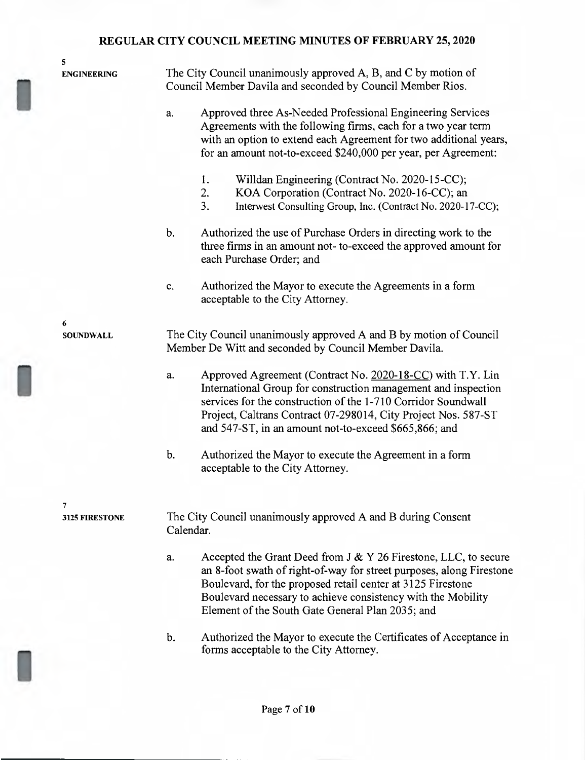5 The City Council unanimously approved A, B, and C by motion of ENGINEERING Council Member Davila and seconded by Council Member Rios. a. Approved three As-Needed Professional Engineering Services Agreements with the following firms, each for <sup>a</sup> two year term with an option to extend each Agreement for two additional years, for an amount not-to-exceed \$240,000 per year, per Agreement: 1. Willdan Engineering (Contract No. 2020-15-CC); 2. KOA Corporation (Contract No. 2020-16-CC); an 3. Interwest Consulting Group, Inc. (Contract No. 2020-17-CC); Authorized the use of Purchase Orders in directing work to the  $<sub>b</sub>$ .</sub> three firms in an amount not- to-exceed the approved amount for each Purchase Order; and Authorized the Mayor to execute the Agreements in <sup>a</sup> form  $\mathbf{c}$ . acceptable to the City Attorney. 6 The City Council unanimously approved A and B by motion of Council **SOUNDWALL** Member De Witt and seconded by Council Member Davila. a. Approved Agreement (Contract No. 2020-18-CC) with T.Y. Lin International Group for construction management and inspection services for the construction of the 1-710 Corridor Soundwall Project, Caltrans Contract 07-298014, City Project Nos. 587-ST and 547-ST, in an amount not-to-exceed \$665,866; and  $<sub>b</sub>$ </sub> Authorized the Mayor to execute the Agreement in <sup>a</sup> form acceptable to the City Attorney. 7 The City Council unanimously approved A and B during Consent 3125 FIRESTONE Calendar. Accepted the Grant Deed from J & Y 26 Firestone, LLC, to secure a. an 8-foot swath of right-of-way for street purposes, along Firestone Boulevard, for the proposed retail center at 3125 Firestone Boulevard necessary to achieve consistency with the Mobility Element of the South Gate General Plan 2035; and

b. Authorized the Mayor to execute the Certificates of Acceptance in forms acceptable to the City Attorney.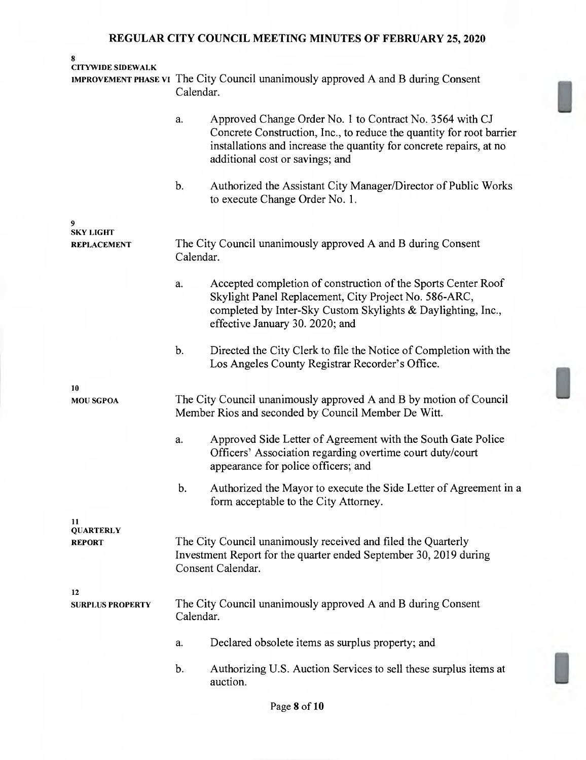| 8<br><b>CITYWIDE SIDEWALK</b> |                                                                                                                                                         |                                                                                                                                                                                                                                            |  |  |
|-------------------------------|---------------------------------------------------------------------------------------------------------------------------------------------------------|--------------------------------------------------------------------------------------------------------------------------------------------------------------------------------------------------------------------------------------------|--|--|
|                               | Calendar.                                                                                                                                               | IMPROVEMENT PHASE VI The City Council unanimously approved A and B during Consent                                                                                                                                                          |  |  |
|                               | a.                                                                                                                                                      | Approved Change Order No. 1 to Contract No. 3564 with CJ<br>Concrete Construction, Inc., to reduce the quantity for root barrier<br>installations and increase the quantity for concrete repairs, at no<br>additional cost or savings; and |  |  |
|                               | $\mathbf{b}$ .                                                                                                                                          | Authorized the Assistant City Manager/Director of Public Works<br>to execute Change Order No. 1.                                                                                                                                           |  |  |
| 9<br><b>SKY LIGHT</b>         |                                                                                                                                                         |                                                                                                                                                                                                                                            |  |  |
| <b>REPLACEMENT</b>            | Calendar.                                                                                                                                               | The City Council unanimously approved A and B during Consent                                                                                                                                                                               |  |  |
|                               | a.                                                                                                                                                      | Accepted completion of construction of the Sports Center Roof<br>Skylight Panel Replacement, City Project No. 586-ARC,<br>completed by Inter-Sky Custom Skylights & Daylighting, Inc.,<br>effective January 30. 2020; and                  |  |  |
|                               | b.                                                                                                                                                      | Directed the City Clerk to file the Notice of Completion with the<br>Los Angeles County Registrar Recorder's Office.                                                                                                                       |  |  |
| 10<br><b>MOU SGPOA</b>        | The City Council unanimously approved A and B by motion of Council<br>Member Rios and seconded by Council Member De Witt.                               |                                                                                                                                                                                                                                            |  |  |
|                               | a.                                                                                                                                                      | Approved Side Letter of Agreement with the South Gate Police<br>Officers' Association regarding overtime court duty/court<br>appearance for police officers; and                                                                           |  |  |
|                               | b.                                                                                                                                                      | Authorized the Mayor to execute the Side Letter of Agreement in a<br>form acceptable to the City Attorney.                                                                                                                                 |  |  |
| 11<br><b>QUARTERLY</b>        |                                                                                                                                                         |                                                                                                                                                                                                                                            |  |  |
| <b>REPORT</b>                 | The City Council unanimously received and filed the Quarterly<br>Investment Report for the quarter ended September 30, 2019 during<br>Consent Calendar. |                                                                                                                                                                                                                                            |  |  |
| 12<br><b>SURPLUS PROPERTY</b> | Calendar.                                                                                                                                               | The City Council unanimously approved A and B during Consent                                                                                                                                                                               |  |  |
|                               | a.                                                                                                                                                      | Declared obsolete items as surplus property; and                                                                                                                                                                                           |  |  |
|                               | b.                                                                                                                                                      | Authorizing U.S. Auction Services to sell these surplus items at<br>auction.                                                                                                                                                               |  |  |

Ll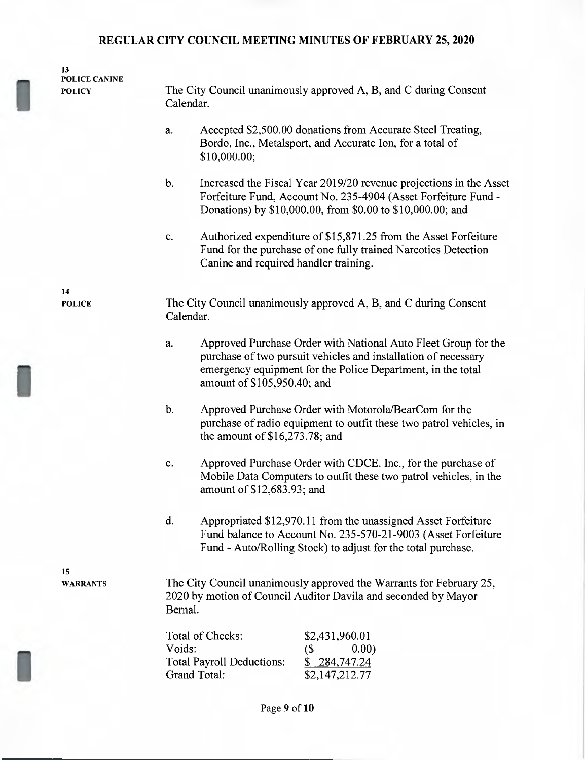| 13<br><b>POLICE CANINE</b><br><b>POLICY</b> | The City Council unanimously approved A, B, and C during Consent<br>Calendar.                                                                                                                                                        |
|---------------------------------------------|--------------------------------------------------------------------------------------------------------------------------------------------------------------------------------------------------------------------------------------|
|                                             | Accepted \$2,500.00 donations from Accurate Steel Treating,<br>a.<br>Bordo, Inc., Metalsport, and Accurate Ion, for a total of<br>\$10,000.00;                                                                                       |
|                                             | b.<br>Increased the Fiscal Year 2019/20 revenue projections in the Asset<br>Forfeiture Fund, Account No. 235-4904 (Asset Forfeiture Fund -<br>Donations) by \$10,000.00, from \$0.00 to \$10,000.00; and                             |
|                                             | Authorized expenditure of \$15,871.25 from the Asset Forfeiture<br>c.<br>Fund for the purchase of one fully trained Narcotics Detection<br>Canine and required handler training.                                                     |
| 14<br><b>POLICE</b>                         | The City Council unanimously approved A, B, and C during Consent<br>Calendar.                                                                                                                                                        |
|                                             | Approved Purchase Order with National Auto Fleet Group for the<br>a.<br>purchase of two pursuit vehicles and installation of necessary<br>emergency equipment for the Police Department, in the total<br>amount of \$105,950.40; and |
|                                             | $\mathbf b$ .<br>Approved Purchase Order with Motorola/BearCom for the<br>purchase of radio equipment to outfit these two patrol vehicles, in<br>the amount of $$16,273.78$ ; and                                                    |
|                                             | Approved Purchase Order with CDCE. Inc., for the purchase of<br>c.<br>Mobile Data Computers to outfit these two patrol vehicles, in the<br>amount of \$12,683.93; and                                                                |
|                                             | d.<br>Appropriated \$12,970.11 from the unassigned Asset Forfeiture<br>Fund balance to Account No. 235-570-21-9003 (Asset Forfeiture<br>Fund - Auto/Rolling Stock) to adjust for the total purchase.                                 |
| 15<br><b>WARRANTS</b>                       | The City Council unanimously approved the Warrants for February 25,<br>2020 by motion of Council Auditor Davila and seconded by Mayor<br>Bernal.                                                                                     |
|                                             | Total of Checks:<br>\$2,431,960.01<br>Voids:<br>0.00)<br>$\left( \text{\$} \right)$<br><b>Total Payroll Deductions:</b><br>\$284,747.24<br>Grand Total:<br>\$2,147,212.77                                                            |